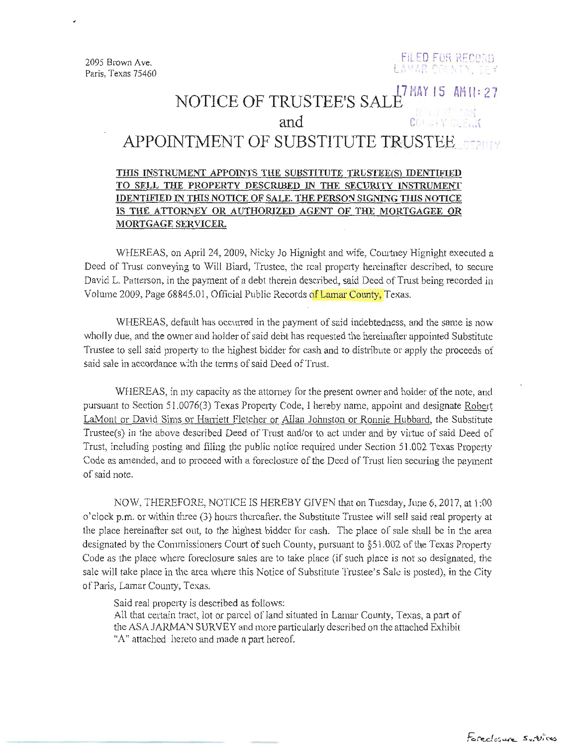2095 Brown Ave. Paris, Texas 75460



## NOTICE OF TRUSTEE'S SALB<sup>7</sup> MAY 15 AH 1: 27 and control  $\mathfrak{c}$ <sub>0</sub>,  $\mathfrak{c}$ <sub>0</sub>,  $\mathfrak{c}$ <sub>0</sub>,  $\mathfrak{c}$ <sub>1</sub>,  $\mathfrak{c}$ <sub>1</sub>,  $\mathfrak{c}$ <sub>1</sub>,  $\mathfrak{c}$ <sub>1</sub>,  $\mathfrak{c}$ <sub>1</sub>,  $\mathfrak{c}$ <sub>1</sub>,  $\mathfrak{c}$ <sub>1</sub>,  $\mathfrak{c}$ <sub>1</sub>,  $\mathfrak{c}$ <sub>1</sub>,  $\mathfrak{c}$ <sub>1</sub>,  $\mathfrak{c}$ <sub>1</sub>,  $\mathfrak{c}$ <sub>1</sub>, APPOINTMENT OF SUBSTITUTE TRUSTEE. 1571

## THIS INSTRUMENT APPOINTS THE SUBSTITUTE TRUSTEE(S) IDENTIFIED TO SELL THE PROPERTY DESCRIBED IN THE SECURITY INSTRUMENT IDENTIFIED IN THIS NOTICE OF SALE. THE PERSON SIGNING THIS NOTICE IS THE ATTORNEY OR AUTHORIZED AGENT OF THE MORTGAGEE OR MORTGAGE SERVICER.

WHEREAS, on April 24, 2009, Nicky Jo Hignight and wife, Courtney Hignight executed a Deed of Trust conveying to Will Biard, Trustee, the real property hereinafter described, to secure David L. Patterson, in the payment of a debt therein described, said Deed of Trust being recorded in Volume 2009, Page 68845.01, Official Public Records of Lamar County, Texas.

WHEREAS, default has occurred in the payment of said indebtedness, and the same is now wholly due, and the owner and holder of said debt has requested the hereinafter appointed Substitute Trustee to sell said property to the highest bidder for cash and to distribute or apply the proceeds of said sale in accordance with the terms of said Deed of Trust.

WHEREAS, in my capacity as the attorney for the present owner and holder of the note, and pursuant to Section 51.0076(3) Texas Property Code, I hereby name, appoint and designate Robert LaMont or David Sims or Harriett Fletcher or Allan Johnston or Ronnie Hubbard, the Substitute Trustee(s) in the above described Deed of Trust and/or to act under and by virtue of said Deed of Trust, including posting and filing the public notice required under Section 51.002 Texas Properly Code as amended, and to proceed with a foreclosure of the Deed of Trust lien securing the payment of said note.

NOW, THEREFORE, NOTICE IS HEREBY GIVEN that on Tuesday, June 6, 2017, at 1 :00 <sup>o</sup>'clock p.m. or within three (3) hours thereafter. the Substitute Trustee will sell said real property at the place hereinafter set out, to the highest bidder for cash. The place of sale shall be in the area designated by the Commissioners Court of such County, pursuant to  $\S51.002$  of the Texas Property Code as the place where foreclosure sales are to take place (if such place is not so designated, the sale will take place in the area where this Notice of Substitute Trustee's Sale is posted), in the City of Paris, Lamar County, Texas.

Said real property is described as follows:

All that certain tract, lot or parcel of land situated in Lamar County, Texas, a part of the ASA JARMAN SURVEY and more particularly described on the attached Exhibit "A" attached hereto and made a part hereof.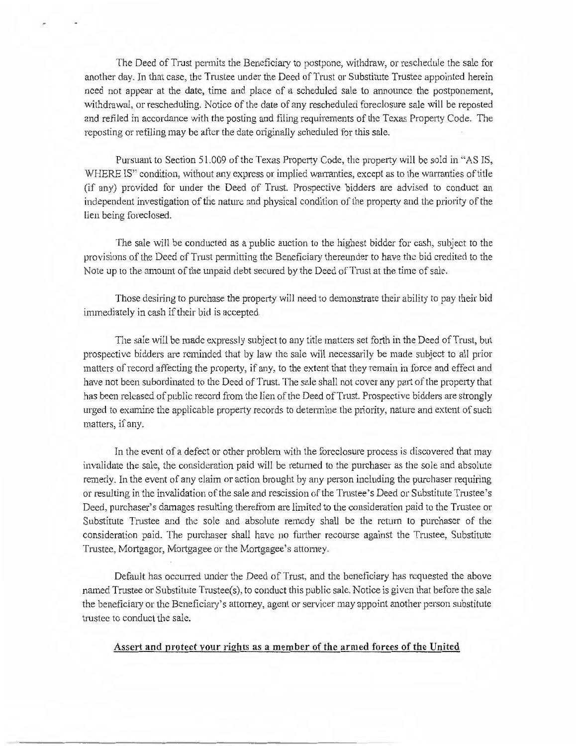The Deed of Trust permits the Beneficiary to postpone, withdraw, or reschedule the sale for another day. In that case, the Trustee under the Deed of Trust or Substitute Trustee appointed herein need not appear at the date, time and place of a scheduled sale to announce the postponement, withdrawal, or rescheduling. Notice of the date of any rescheduled foreclosure sale will be reposted and refiled in accordance with the posting and filing requirements of the Texas Property Code. The reposting or refiling may be after the date originally scheduled for this sale.

Pursuant to Section 51.009 of the Texas Property Code, the property will be sold in «AS IS, WHERE IS" condition, without any express or implied warranties, except as to the warranties of title (if any) provided for under the Deed of Trust. Prospective bidders are advised to conduct an independent investigation of the nature and physical condition of the property and the priority of the lien being foreclosed.

The sale will be conducted as a public auction to the highest bidder for cash, subject to the provisions of the Deed of Trust permitting the Beneficiary thereunder to have the bid credited to the Note up to the amount of the unpaid debt secured by the Deed of Trust at the time of sale.

Those desiring to purchase the property will need to demonstrate their ability to pay their bid immediately in cash if their bid is accepted.

The sale will be made expressly subject to any title matters set forth in the Deed of Trust, but prospective bidders are reminded that by law the sale will necessarily be made subject to all prior matters of record affecting the property, if any, to the extent that they remain in force and effect and have not been subordinated to the Deed of Trust. The sale shall not cover any part of the property that has been released of public record from the lien of the Deed of Trust. Prospective bidders are strongly urged to examine the applicable property records to determine the priority, nature and extent of such matters, if any.

In the event of a defect or other problem with the foreclosure process is discovered that may invalidate the sale, the consideration paid will be returned to the purchaser as the sole and absolute remedy. In the event of any claim or action brought by any person including the purchaser requiring or resulting in the invalidation of the sale and rescission of the Trustee's Deed or Substitute Trustee's Deed, purchaser's damages resulting therefrom are limited to the consideration paid to the Trustee or Substitute Trustee and the sole and absolute remedy shall be the return to purchaser of the consideration paid. The purchaser shall have no further recourse against the Trustee, Substitute Trustee, Mortgagor, Mortgagee or the Mortgagee's attorney.

Default has occurred under the Deed of Trust, and the beneficiary has requested the above named Trustee or Substitute Trustee(s), to conduct this public sale. Notice is given that before the sale the beneficiaiy or the Beneficiary's attorney, agent or servicer may appoint another person substitute trustee to conduct the sale.

## Assert and protect your rights as a member of the armed forces of the United